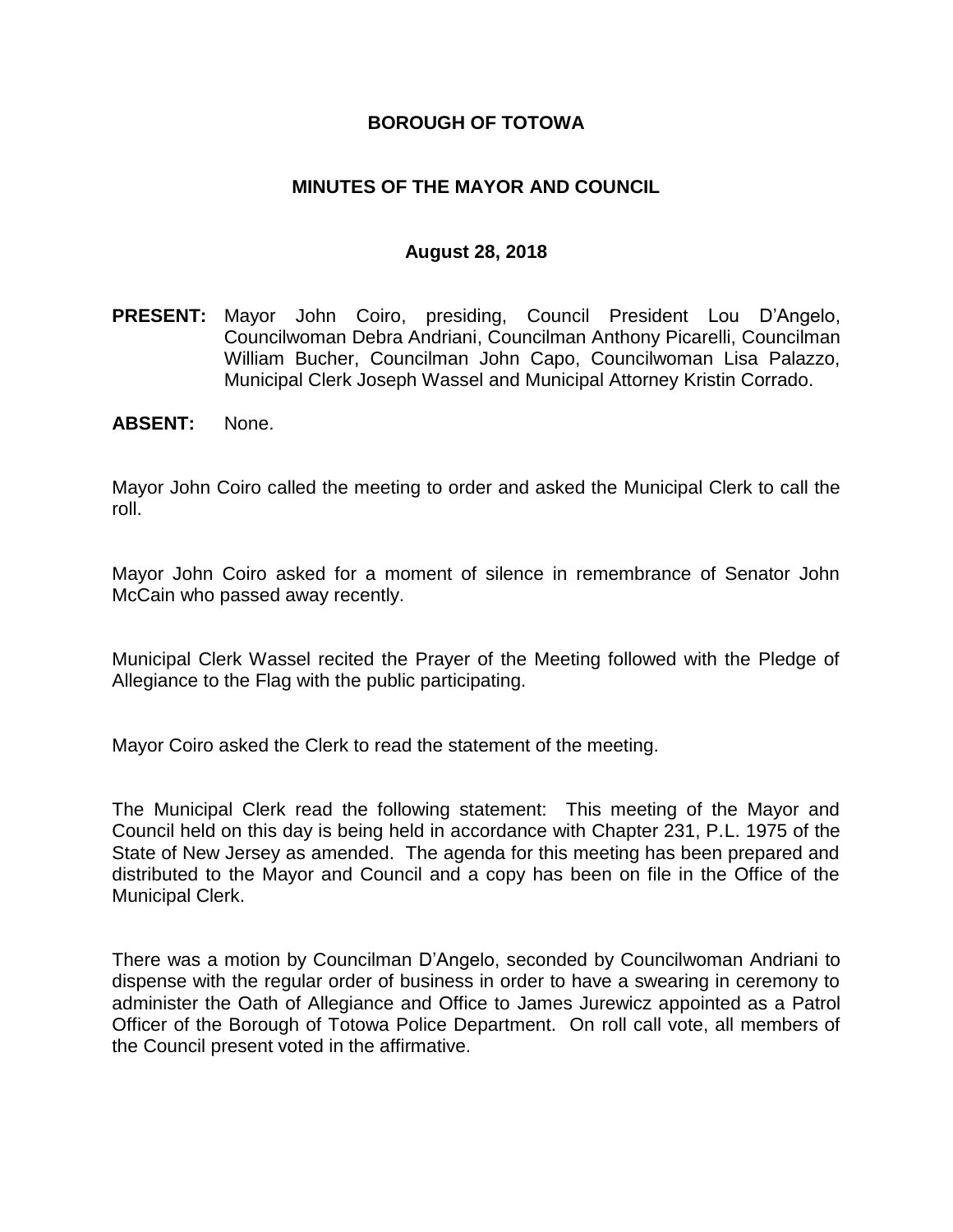#### **BOROUGH OF TOTOWA**

### **MINUTES OF THE MAYOR AND COUNCIL**

#### **August 28, 2018**

- **PRESENT:** Mayor John Coiro, presiding, Council President Lou D'Angelo, Councilwoman Debra Andriani, Councilman Anthony Picarelli, Councilman William Bucher, Councilman John Capo, Councilwoman Lisa Palazzo, Municipal Clerk Joseph Wassel and Municipal Attorney Kristin Corrado.
- **ABSENT:** None.

Mayor John Coiro called the meeting to order and asked the Municipal Clerk to call the roll.

Mayor John Coiro asked for a moment of silence in remembrance of Senator John McCain who passed away recently.

Municipal Clerk Wassel recited the Prayer of the Meeting followed with the Pledge of Allegiance to the Flag with the public participating.

Mayor Coiro asked the Clerk to read the statement of the meeting.

The Municipal Clerk read the following statement: This meeting of the Mayor and Council held on this day is being held in accordance with Chapter 231, P.L. 1975 of the State of New Jersey as amended. The agenda for this meeting has been prepared and distributed to the Mayor and Council and a copy has been on file in the Office of the Municipal Clerk.

There was a motion by Councilman D'Angelo, seconded by Councilwoman Andriani to dispense with the regular order of business in order to have a swearing in ceremony to administer the Oath of Allegiance and Office to James Jurewicz appointed as a Patrol Officer of the Borough of Totowa Police Department. On roll call vote, all members of the Council present voted in the affirmative.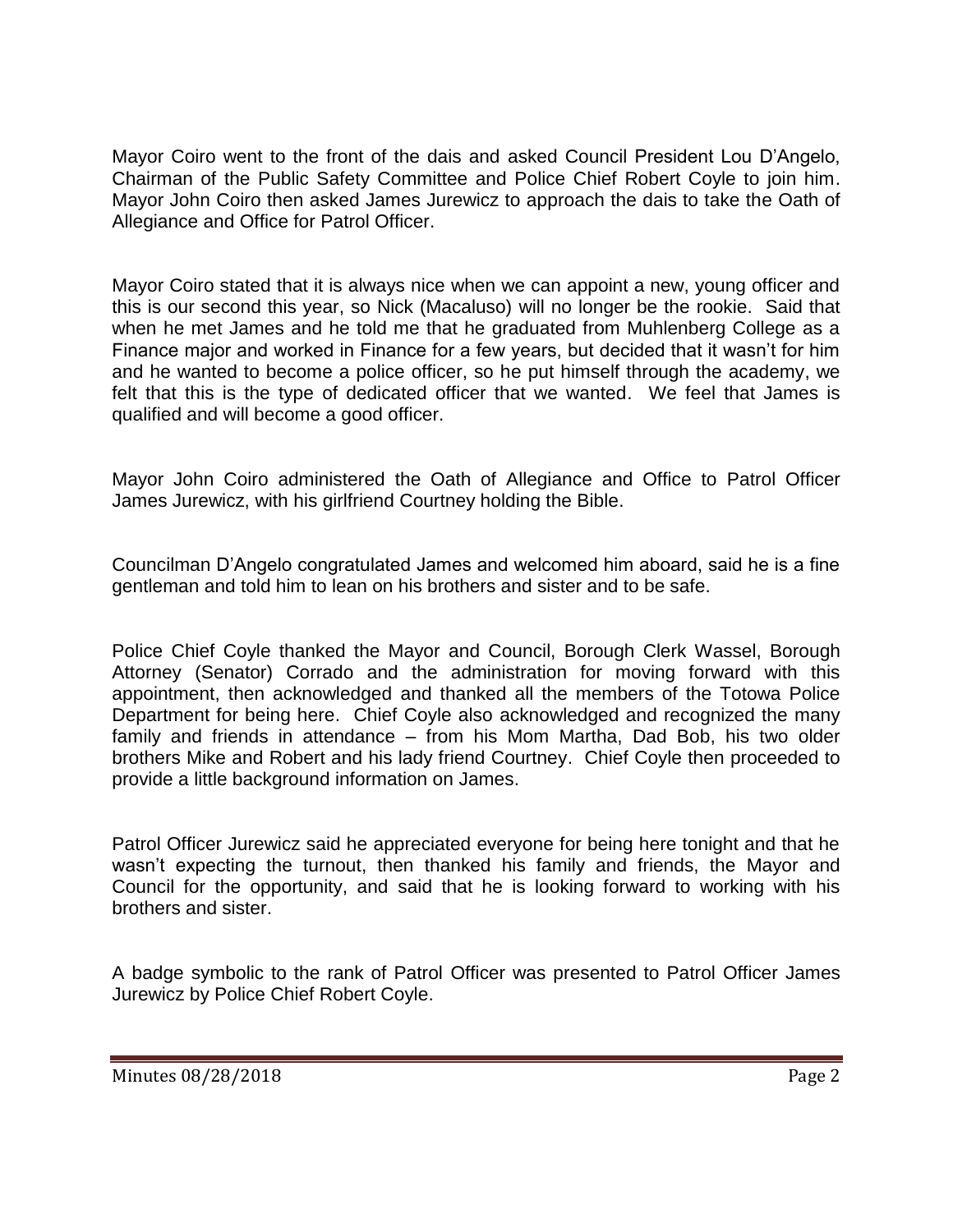Mayor Coiro went to the front of the dais and asked Council President Lou D'Angelo, Chairman of the Public Safety Committee and Police Chief Robert Coyle to join him. Mayor John Coiro then asked James Jurewicz to approach the dais to take the Oath of Allegiance and Office for Patrol Officer.

Mayor Coiro stated that it is always nice when we can appoint a new, young officer and this is our second this year, so Nick (Macaluso) will no longer be the rookie. Said that when he met James and he told me that he graduated from Muhlenberg College as a Finance major and worked in Finance for a few years, but decided that it wasn't for him and he wanted to become a police officer, so he put himself through the academy, we felt that this is the type of dedicated officer that we wanted. We feel that James is qualified and will become a good officer.

Mayor John Coiro administered the Oath of Allegiance and Office to Patrol Officer James Jurewicz, with his girlfriend Courtney holding the Bible.

Councilman D'Angelo congratulated James and welcomed him aboard, said he is a fine gentleman and told him to lean on his brothers and sister and to be safe.

Police Chief Coyle thanked the Mayor and Council, Borough Clerk Wassel, Borough Attorney (Senator) Corrado and the administration for moving forward with this appointment, then acknowledged and thanked all the members of the Totowa Police Department for being here. Chief Coyle also acknowledged and recognized the many family and friends in attendance – from his Mom Martha, Dad Bob, his two older brothers Mike and Robert and his lady friend Courtney. Chief Coyle then proceeded to provide a little background information on James.

Patrol Officer Jurewicz said he appreciated everyone for being here tonight and that he wasn't expecting the turnout, then thanked his family and friends, the Mayor and Council for the opportunity, and said that he is looking forward to working with his brothers and sister.

A badge symbolic to the rank of Patrol Officer was presented to Patrol Officer James Jurewicz by Police Chief Robert Coyle.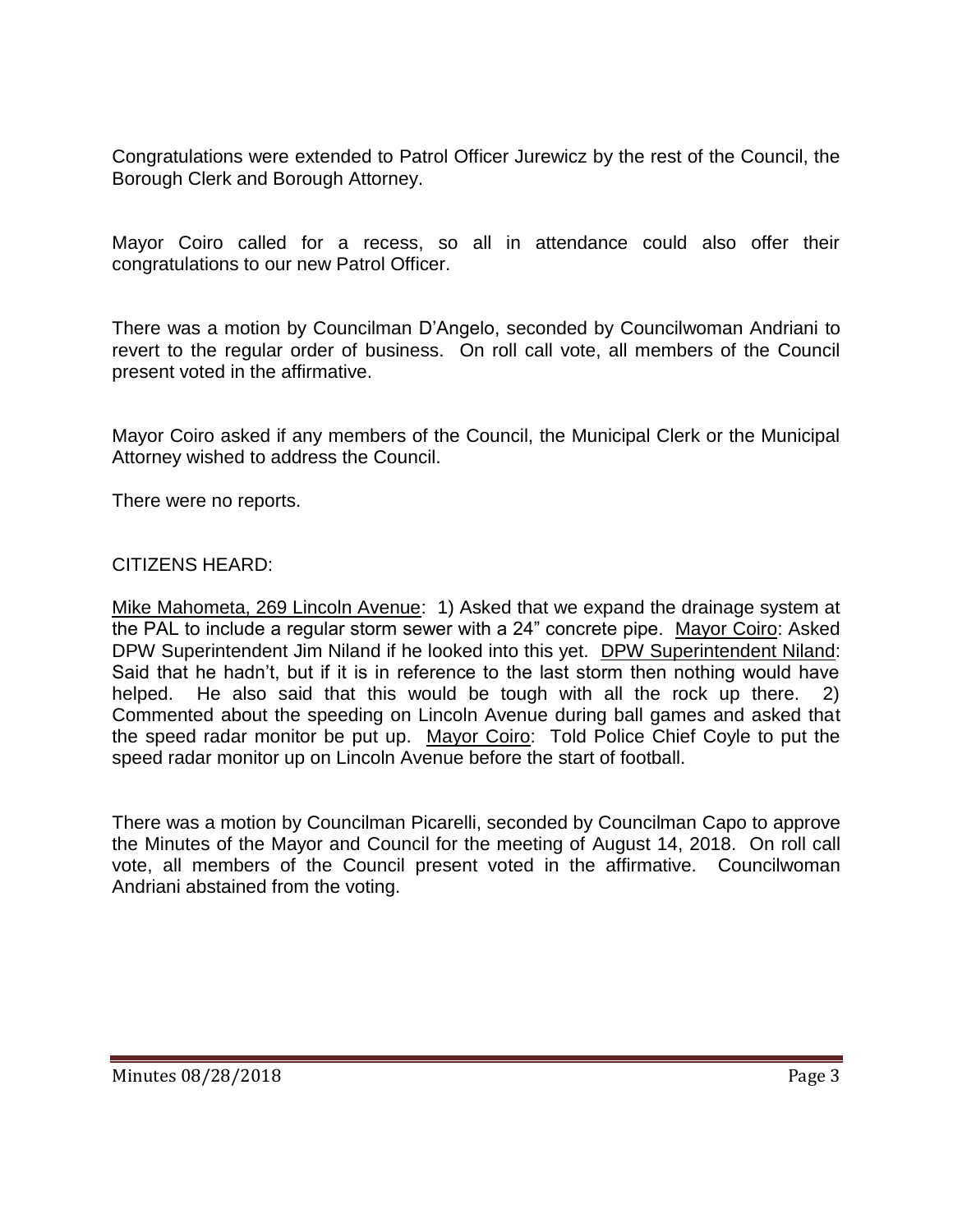Congratulations were extended to Patrol Officer Jurewicz by the rest of the Council, the Borough Clerk and Borough Attorney.

Mayor Coiro called for a recess, so all in attendance could also offer their congratulations to our new Patrol Officer.

There was a motion by Councilman D'Angelo, seconded by Councilwoman Andriani to revert to the regular order of business. On roll call vote, all members of the Council present voted in the affirmative.

Mayor Coiro asked if any members of the Council, the Municipal Clerk or the Municipal Attorney wished to address the Council.

There were no reports.

#### CITIZENS HEARD:

Mike Mahometa, 269 Lincoln Avenue: 1) Asked that we expand the drainage system at the PAL to include a regular storm sewer with a 24" concrete pipe. Mayor Coiro: Asked DPW Superintendent Jim Niland if he looked into this yet. DPW Superintendent Niland: Said that he hadn't, but if it is in reference to the last storm then nothing would have helped. He also said that this would be tough with all the rock up there. 2) Commented about the speeding on Lincoln Avenue during ball games and asked that the speed radar monitor be put up. Mayor Coiro: Told Police Chief Coyle to put the speed radar monitor up on Lincoln Avenue before the start of football.

There was a motion by Councilman Picarelli, seconded by Councilman Capo to approve the Minutes of the Mayor and Council for the meeting of August 14, 2018. On roll call vote, all members of the Council present voted in the affirmative. Councilwoman Andriani abstained from the voting.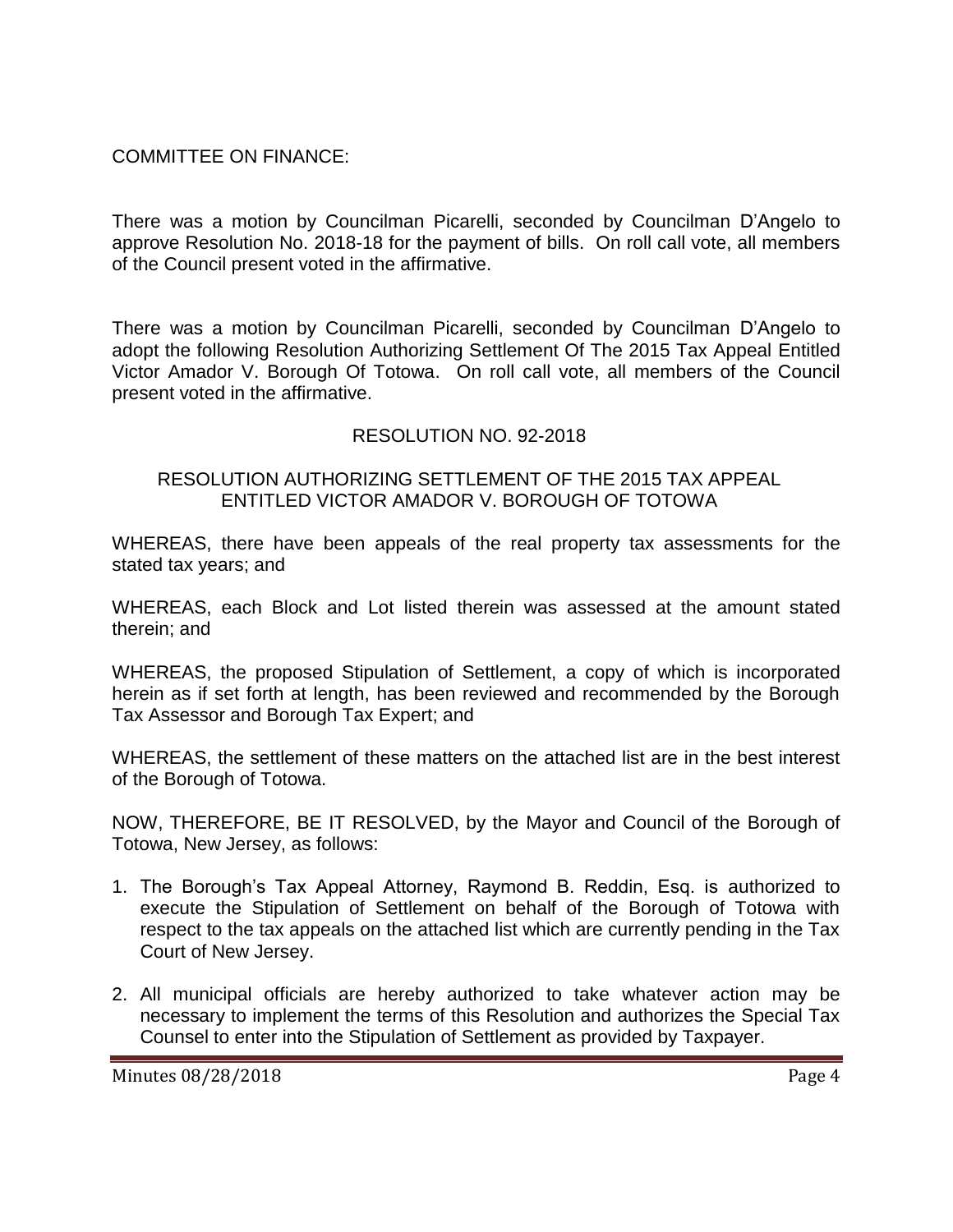### COMMITTEE ON FINANCE:

There was a motion by Councilman Picarelli, seconded by Councilman D'Angelo to approve Resolution No. 2018-18 for the payment of bills. On roll call vote, all members of the Council present voted in the affirmative.

There was a motion by Councilman Picarelli, seconded by Councilman D'Angelo to adopt the following Resolution Authorizing Settlement Of The 2015 Tax Appeal Entitled Victor Amador V. Borough Of Totowa. On roll call vote, all members of the Council present voted in the affirmative.

### RESOLUTION NO. 92-2018

#### RESOLUTION AUTHORIZING SETTLEMENT OF THE 2015 TAX APPEAL ENTITLED VICTOR AMADOR V. BOROUGH OF TOTOWA

WHEREAS, there have been appeals of the real property tax assessments for the stated tax years; and

WHEREAS, each Block and Lot listed therein was assessed at the amount stated therein; and

WHEREAS, the proposed Stipulation of Settlement, a copy of which is incorporated herein as if set forth at length, has been reviewed and recommended by the Borough Tax Assessor and Borough Tax Expert; and

WHEREAS, the settlement of these matters on the attached list are in the best interest of the Borough of Totowa.

NOW, THEREFORE, BE IT RESOLVED, by the Mayor and Council of the Borough of Totowa, New Jersey, as follows:

- 1. The Borough's Tax Appeal Attorney, Raymond B. Reddin, Esq. is authorized to execute the Stipulation of Settlement on behalf of the Borough of Totowa with respect to the tax appeals on the attached list which are currently pending in the Tax Court of New Jersey.
- 2. All municipal officials are hereby authorized to take whatever action may be necessary to implement the terms of this Resolution and authorizes the Special Tax Counsel to enter into the Stipulation of Settlement as provided by Taxpayer.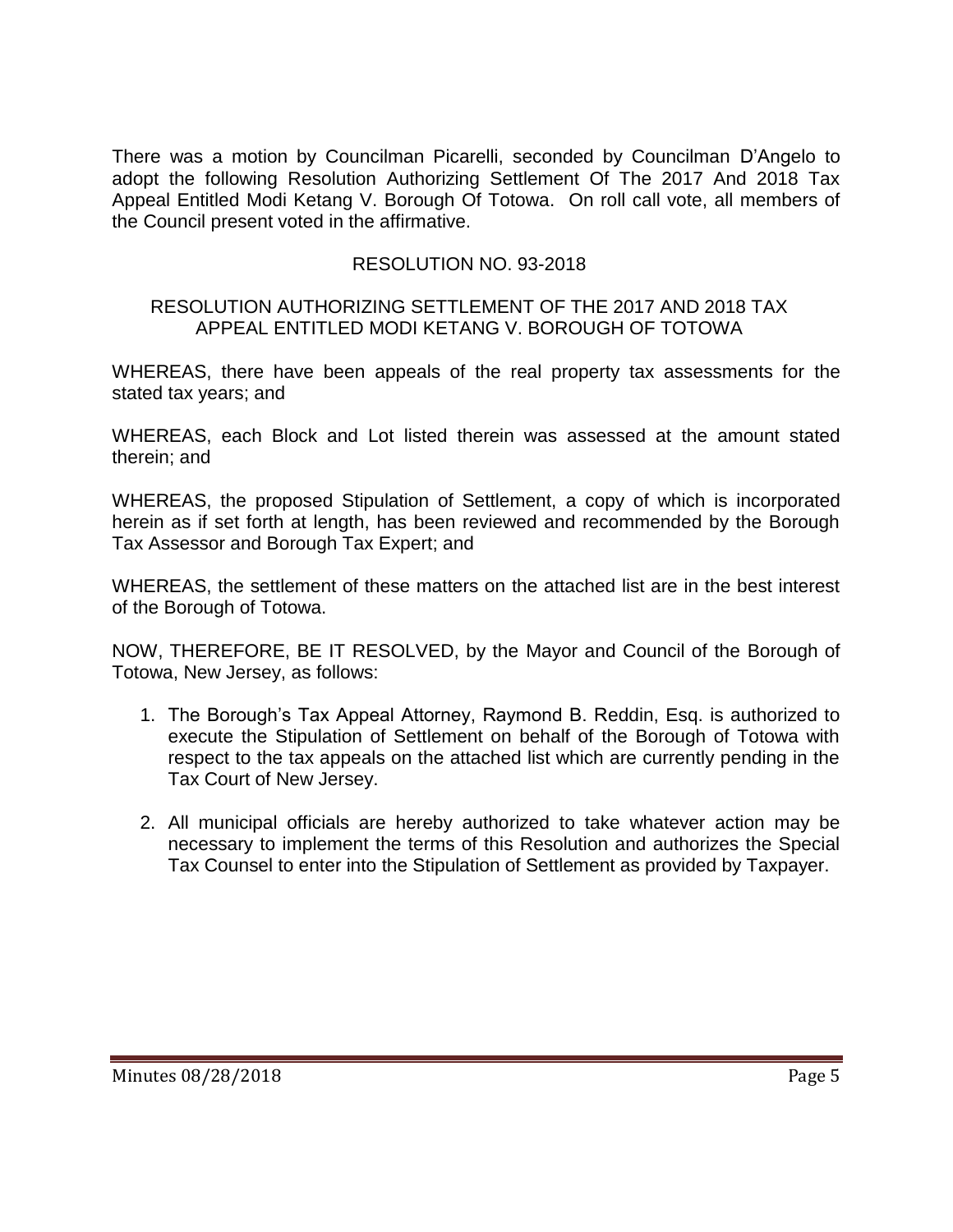There was a motion by Councilman Picarelli, seconded by Councilman D'Angelo to adopt the following Resolution Authorizing Settlement Of The 2017 And 2018 Tax Appeal Entitled Modi Ketang V. Borough Of Totowa. On roll call vote, all members of the Council present voted in the affirmative.

# RESOLUTION NO. 93-2018

#### RESOLUTION AUTHORIZING SETTLEMENT OF THE 2017 AND 2018 TAX APPEAL ENTITLED MODI KETANG V. BOROUGH OF TOTOWA

WHEREAS, there have been appeals of the real property tax assessments for the stated tax years; and

WHEREAS, each Block and Lot listed therein was assessed at the amount stated therein; and

WHEREAS, the proposed Stipulation of Settlement, a copy of which is incorporated herein as if set forth at length, has been reviewed and recommended by the Borough Tax Assessor and Borough Tax Expert; and

WHEREAS, the settlement of these matters on the attached list are in the best interest of the Borough of Totowa.

NOW, THEREFORE, BE IT RESOLVED, by the Mayor and Council of the Borough of Totowa, New Jersey, as follows:

- 1. The Borough's Tax Appeal Attorney, Raymond B. Reddin, Esq. is authorized to execute the Stipulation of Settlement on behalf of the Borough of Totowa with respect to the tax appeals on the attached list which are currently pending in the Tax Court of New Jersey.
- 2. All municipal officials are hereby authorized to take whatever action may be necessary to implement the terms of this Resolution and authorizes the Special Tax Counsel to enter into the Stipulation of Settlement as provided by Taxpayer.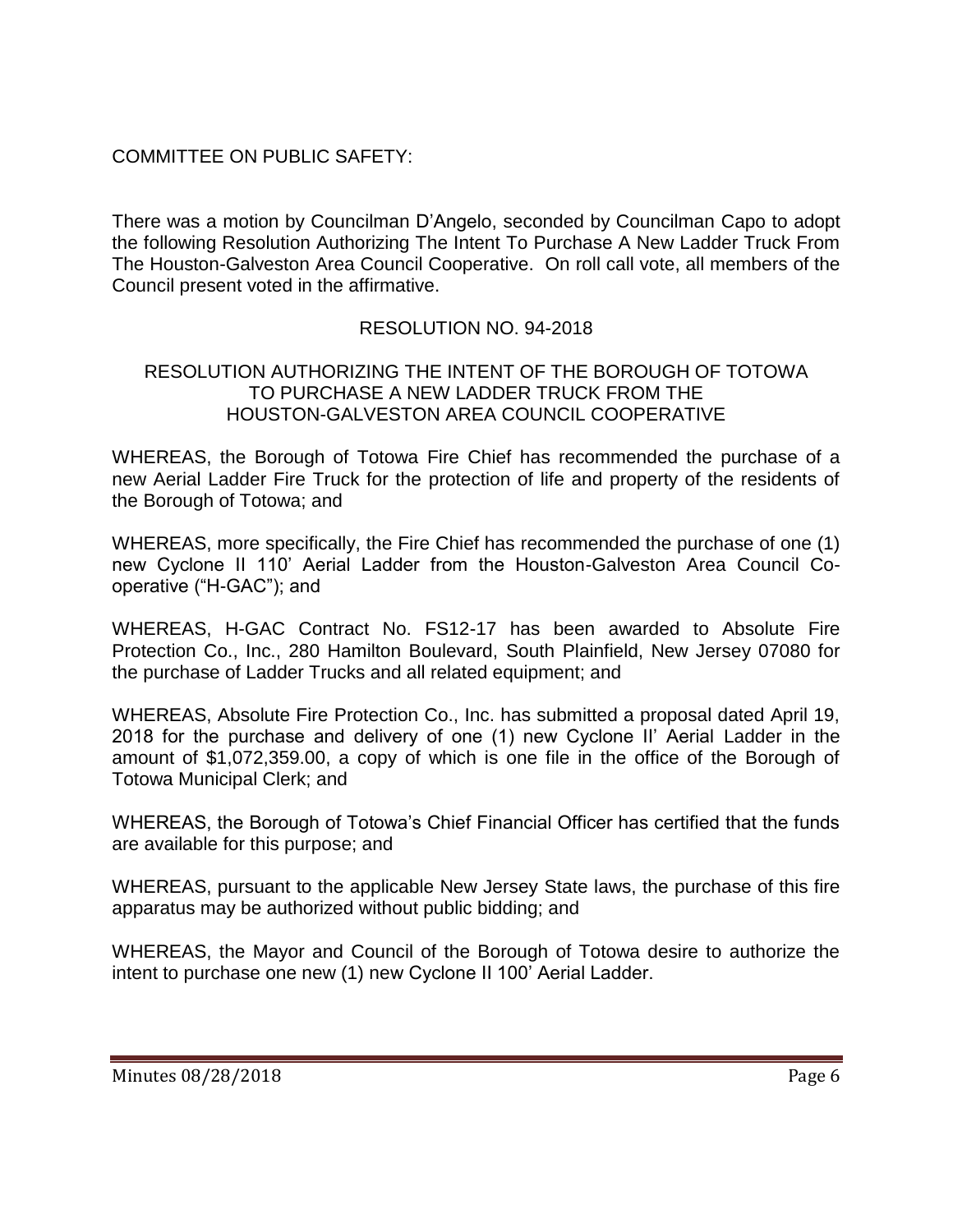# COMMITTEE ON PUBLIC SAFETY:

There was a motion by Councilman D'Angelo, seconded by Councilman Capo to adopt the following Resolution Authorizing The Intent To Purchase A New Ladder Truck From The Houston-Galveston Area Council Cooperative. On roll call vote, all members of the Council present voted in the affirmative.

# RESOLUTION NO. 94-2018

### RESOLUTION AUTHORIZING THE INTENT OF THE BOROUGH OF TOTOWA TO PURCHASE A NEW LADDER TRUCK FROM THE HOUSTON-GALVESTON AREA COUNCIL COOPERATIVE

WHEREAS, the Borough of Totowa Fire Chief has recommended the purchase of a new Aerial Ladder Fire Truck for the protection of life and property of the residents of the Borough of Totowa; and

WHEREAS, more specifically, the Fire Chief has recommended the purchase of one (1) new Cyclone II 110' Aerial Ladder from the Houston-Galveston Area Council Cooperative ("H-GAC"); and

WHEREAS, H-GAC Contract No. FS12-17 has been awarded to Absolute Fire Protection Co., Inc., 280 Hamilton Boulevard, South Plainfield, New Jersey 07080 for the purchase of Ladder Trucks and all related equipment; and

WHEREAS, Absolute Fire Protection Co., Inc. has submitted a proposal dated April 19, 2018 for the purchase and delivery of one (1) new Cyclone II' Aerial Ladder in the amount of \$1,072,359.00, a copy of which is one file in the office of the Borough of Totowa Municipal Clerk; and

WHEREAS, the Borough of Totowa's Chief Financial Officer has certified that the funds are available for this purpose; and

WHEREAS, pursuant to the applicable New Jersey State laws, the purchase of this fire apparatus may be authorized without public bidding; and

WHEREAS, the Mayor and Council of the Borough of Totowa desire to authorize the intent to purchase one new (1) new Cyclone II 100' Aerial Ladder.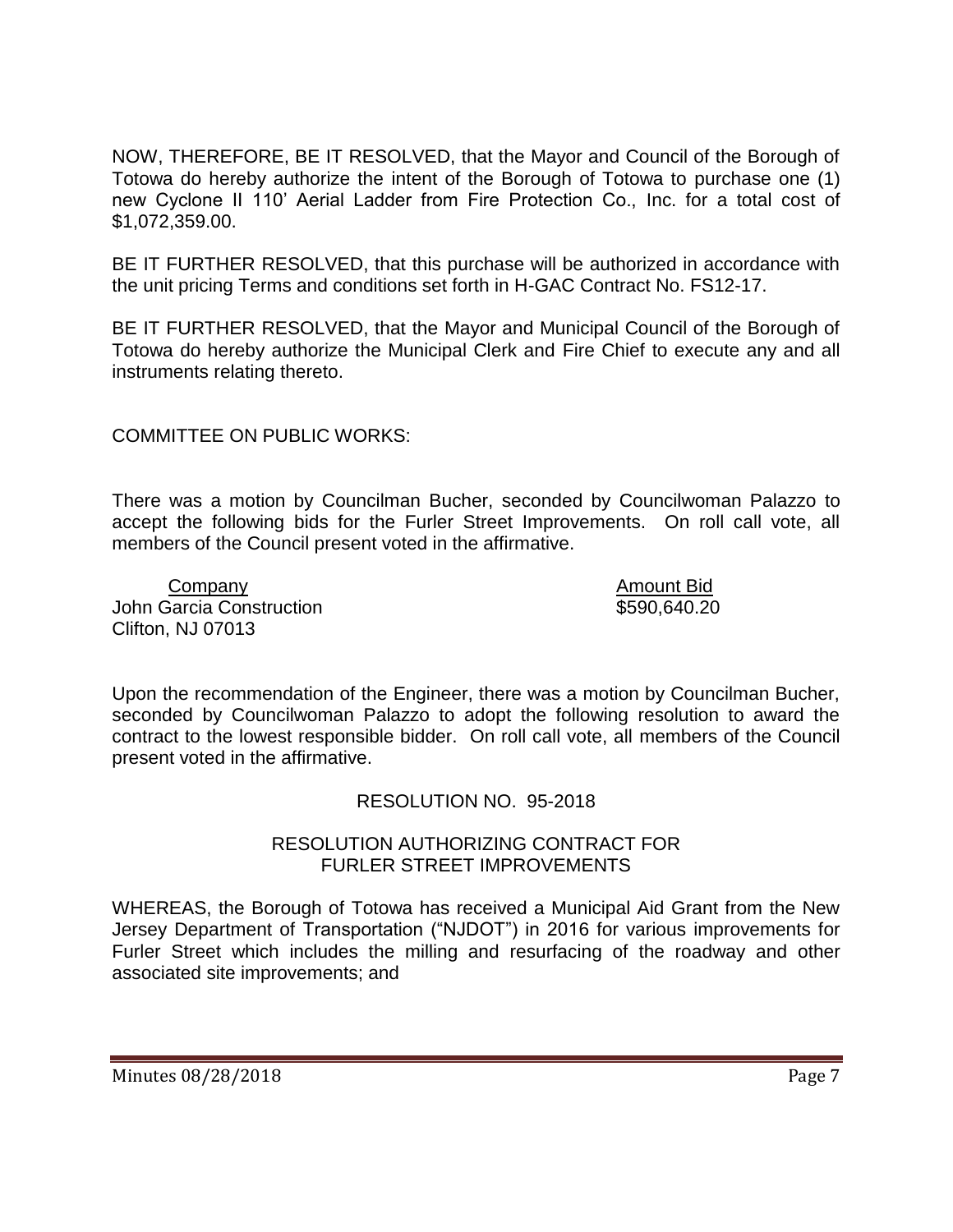NOW, THEREFORE, BE IT RESOLVED, that the Mayor and Council of the Borough of Totowa do hereby authorize the intent of the Borough of Totowa to purchase one (1) new Cyclone II 110' Aerial Ladder from Fire Protection Co., Inc. for a total cost of \$1,072,359.00.

BE IT FURTHER RESOLVED, that this purchase will be authorized in accordance with the unit pricing Terms and conditions set forth in H-GAC Contract No. FS12-17.

BE IT FURTHER RESOLVED, that the Mayor and Municipal Council of the Borough of Totowa do hereby authorize the Municipal Clerk and Fire Chief to execute any and all instruments relating thereto.

COMMITTEE ON PUBLIC WORKS:

There was a motion by Councilman Bucher, seconded by Councilwoman Palazzo to accept the following bids for the Furler Street Improvements. On roll call vote, all members of the Council present voted in the affirmative.

Company Amount Bid John Garcia Construction **\$590,640.20** Clifton, NJ 07013

Upon the recommendation of the Engineer, there was a motion by Councilman Bucher, seconded by Councilwoman Palazzo to adopt the following resolution to award the contract to the lowest responsible bidder. On roll call vote, all members of the Council present voted in the affirmative.

#### RESOLUTION NO. 95-2018

#### RESOLUTION AUTHORIZING CONTRACT FOR FURLER STREET IMPROVEMENTS

WHEREAS, the Borough of Totowa has received a Municipal Aid Grant from the New Jersey Department of Transportation ("NJDOT") in 2016 for various improvements for Furler Street which includes the milling and resurfacing of the roadway and other associated site improvements; and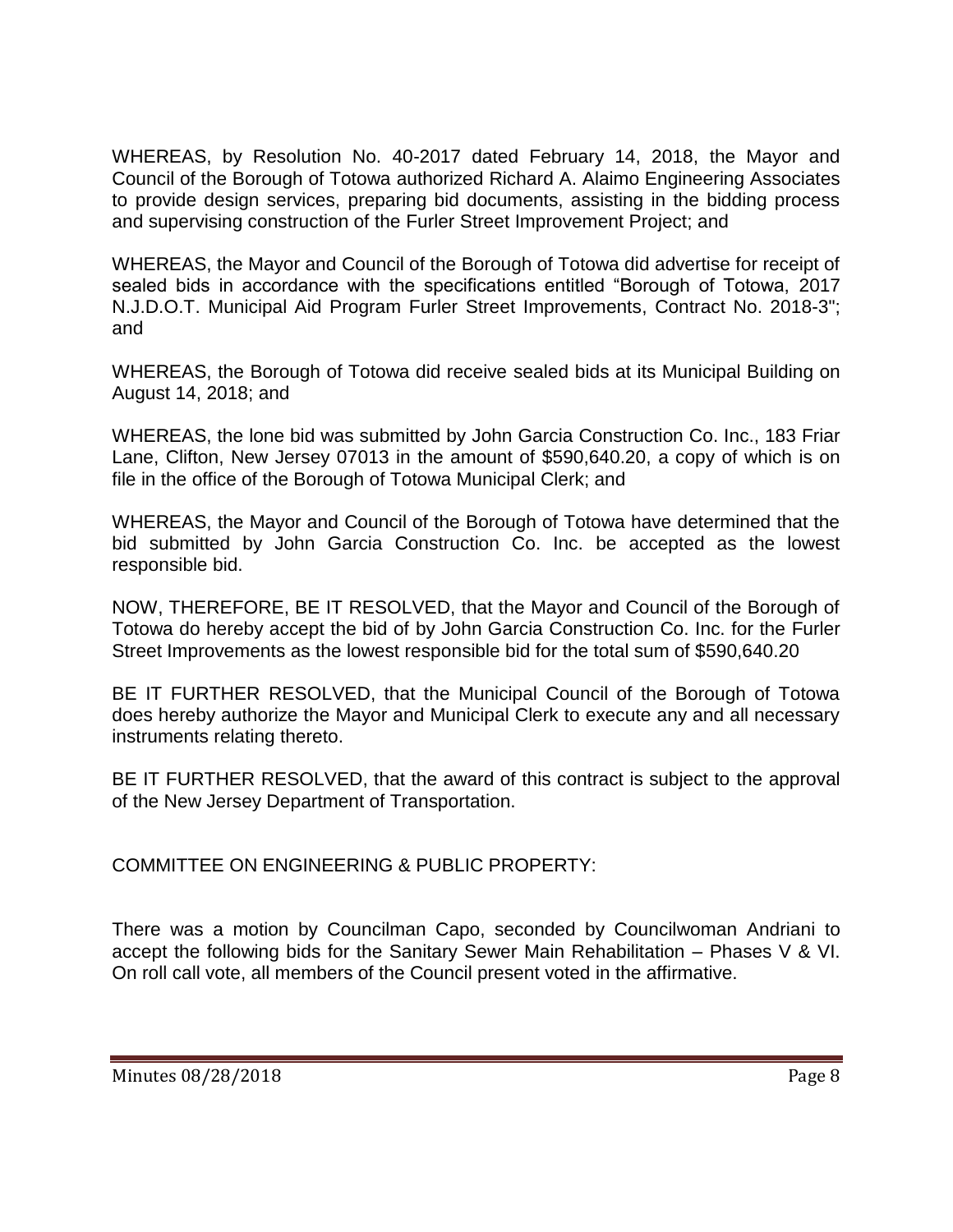WHEREAS, by Resolution No. 40-2017 dated February 14, 2018, the Mayor and Council of the Borough of Totowa authorized Richard A. Alaimo Engineering Associates to provide design services, preparing bid documents, assisting in the bidding process and supervising construction of the Furler Street Improvement Project; and

WHEREAS, the Mayor and Council of the Borough of Totowa did advertise for receipt of sealed bids in accordance with the specifications entitled "Borough of Totowa, 2017 N.J.D.O.T. Municipal Aid Program Furler Street Improvements, Contract No. 2018-3"; and

WHEREAS, the Borough of Totowa did receive sealed bids at its Municipal Building on August 14, 2018; and

WHEREAS, the lone bid was submitted by John Garcia Construction Co. Inc., 183 Friar Lane, Clifton, New Jersey 07013 in the amount of \$590,640.20, a copy of which is on file in the office of the Borough of Totowa Municipal Clerk; and

WHEREAS, the Mayor and Council of the Borough of Totowa have determined that the bid submitted by John Garcia Construction Co. Inc. be accepted as the lowest responsible bid.

NOW, THEREFORE, BE IT RESOLVED, that the Mayor and Council of the Borough of Totowa do hereby accept the bid of by John Garcia Construction Co. Inc. for the Furler Street Improvements as the lowest responsible bid for the total sum of \$590,640.20

BE IT FURTHER RESOLVED, that the Municipal Council of the Borough of Totowa does hereby authorize the Mayor and Municipal Clerk to execute any and all necessary instruments relating thereto.

BE IT FURTHER RESOLVED, that the award of this contract is subject to the approval of the New Jersey Department of Transportation.

COMMITTEE ON ENGINEERING & PUBLIC PROPERTY:

There was a motion by Councilman Capo, seconded by Councilwoman Andriani to accept the following bids for the Sanitary Sewer Main Rehabilitation – Phases V & VI. On roll call vote, all members of the Council present voted in the affirmative.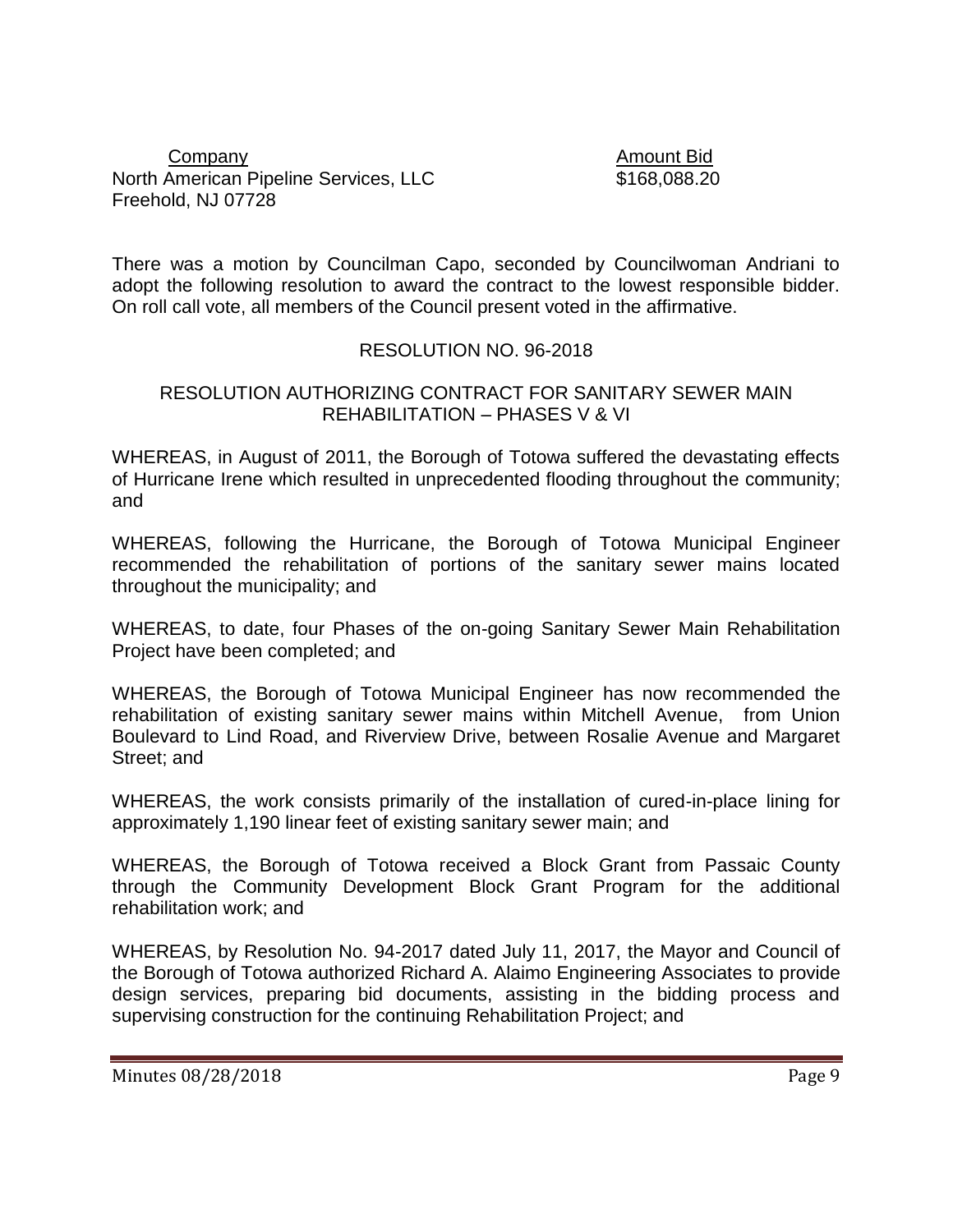#### Company Amount Bid North American Pipeline Services, LLC  $$168,088.20$ Freehold, NJ 07728

There was a motion by Councilman Capo, seconded by Councilwoman Andriani to adopt the following resolution to award the contract to the lowest responsible bidder. On roll call vote, all members of the Council present voted in the affirmative.

### RESOLUTION NO. 96-2018

#### RESOLUTION AUTHORIZING CONTRACT FOR SANITARY SEWER MAIN REHABILITATION – PHASES V & VI

WHEREAS, in August of 2011, the Borough of Totowa suffered the devastating effects of Hurricane Irene which resulted in unprecedented flooding throughout the community; and

WHEREAS, following the Hurricane, the Borough of Totowa Municipal Engineer recommended the rehabilitation of portions of the sanitary sewer mains located throughout the municipality; and

WHEREAS, to date, four Phases of the on-going Sanitary Sewer Main Rehabilitation Project have been completed; and

WHEREAS, the Borough of Totowa Municipal Engineer has now recommended the rehabilitation of existing sanitary sewer mains within Mitchell Avenue, from Union Boulevard to Lind Road, and Riverview Drive, between Rosalie Avenue and Margaret Street; and

WHEREAS, the work consists primarily of the installation of cured-in-place lining for approximately 1,190 linear feet of existing sanitary sewer main; and

WHEREAS, the Borough of Totowa received a Block Grant from Passaic County through the Community Development Block Grant Program for the additional rehabilitation work; and

WHEREAS, by Resolution No. 94-2017 dated July 11, 2017, the Mayor and Council of the Borough of Totowa authorized Richard A. Alaimo Engineering Associates to provide design services, preparing bid documents, assisting in the bidding process and supervising construction for the continuing Rehabilitation Project; and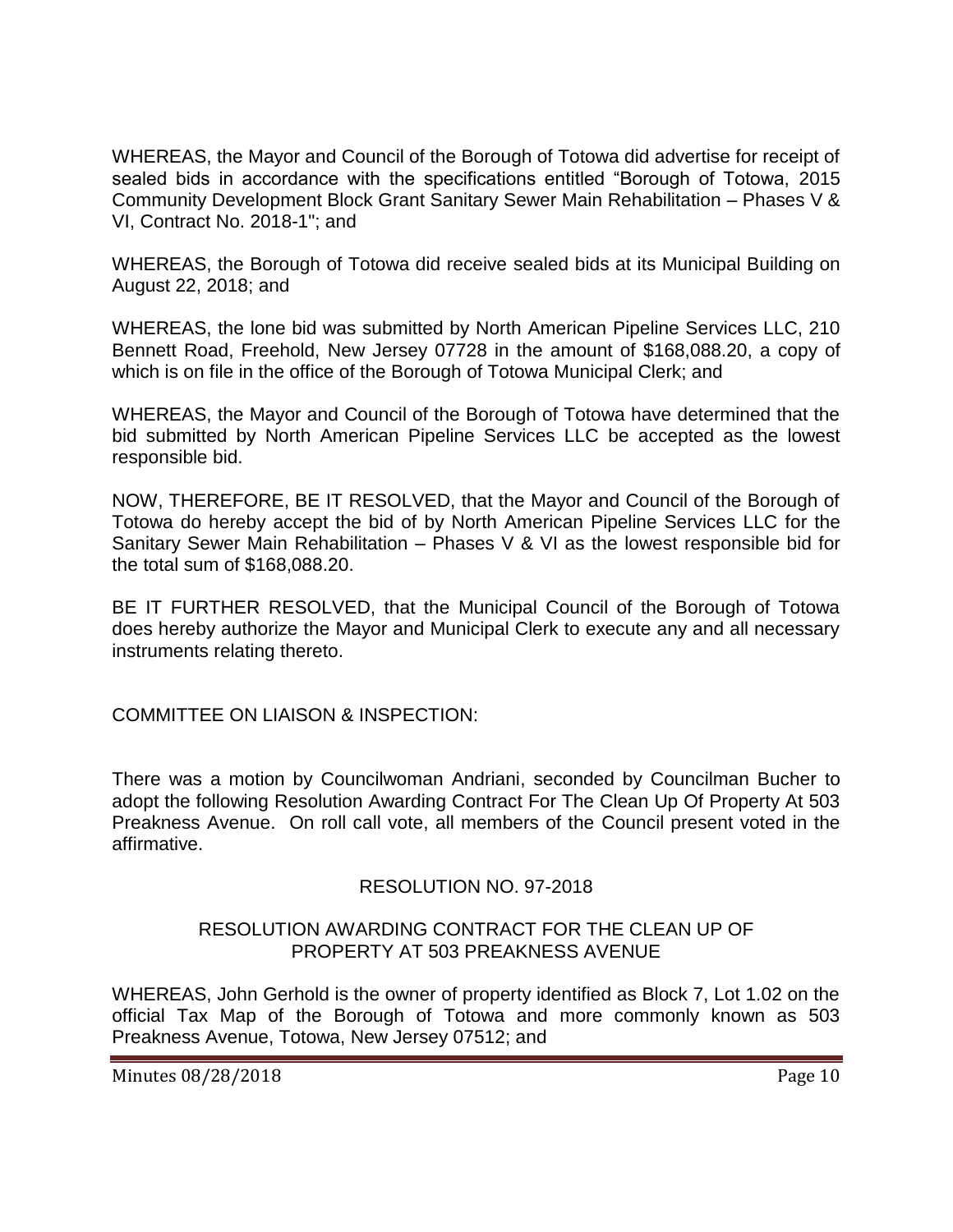WHEREAS, the Mayor and Council of the Borough of Totowa did advertise for receipt of sealed bids in accordance with the specifications entitled "Borough of Totowa, 2015 Community Development Block Grant Sanitary Sewer Main Rehabilitation – Phases V & VI, Contract No. 2018-1"; and

WHEREAS, the Borough of Totowa did receive sealed bids at its Municipal Building on August 22, 2018; and

WHEREAS, the lone bid was submitted by North American Pipeline Services LLC, 210 Bennett Road, Freehold, New Jersey 07728 in the amount of \$168,088.20, a copy of which is on file in the office of the Borough of Totowa Municipal Clerk; and

WHEREAS, the Mayor and Council of the Borough of Totowa have determined that the bid submitted by North American Pipeline Services LLC be accepted as the lowest responsible bid.

NOW, THEREFORE, BE IT RESOLVED, that the Mayor and Council of the Borough of Totowa do hereby accept the bid of by North American Pipeline Services LLC for the Sanitary Sewer Main Rehabilitation – Phases V & VI as the lowest responsible bid for the total sum of \$168,088.20.

BE IT FURTHER RESOLVED, that the Municipal Council of the Borough of Totowa does hereby authorize the Mayor and Municipal Clerk to execute any and all necessary instruments relating thereto.

COMMITTEE ON LIAISON & INSPECTION:

There was a motion by Councilwoman Andriani, seconded by Councilman Bucher to adopt the following Resolution Awarding Contract For The Clean Up Of Property At 503 Preakness Avenue. On roll call vote, all members of the Council present voted in the affirmative.

#### RESOLUTION NO. 97-2018

### RESOLUTION AWARDING CONTRACT FOR THE CLEAN UP OF PROPERTY AT 503 PREAKNESS AVENUE

WHEREAS, John Gerhold is the owner of property identified as Block 7, Lot 1.02 on the official Tax Map of the Borough of Totowa and more commonly known as 503 Preakness Avenue, Totowa, New Jersey 07512; and

Minutes 08/28/2018 **Page 10**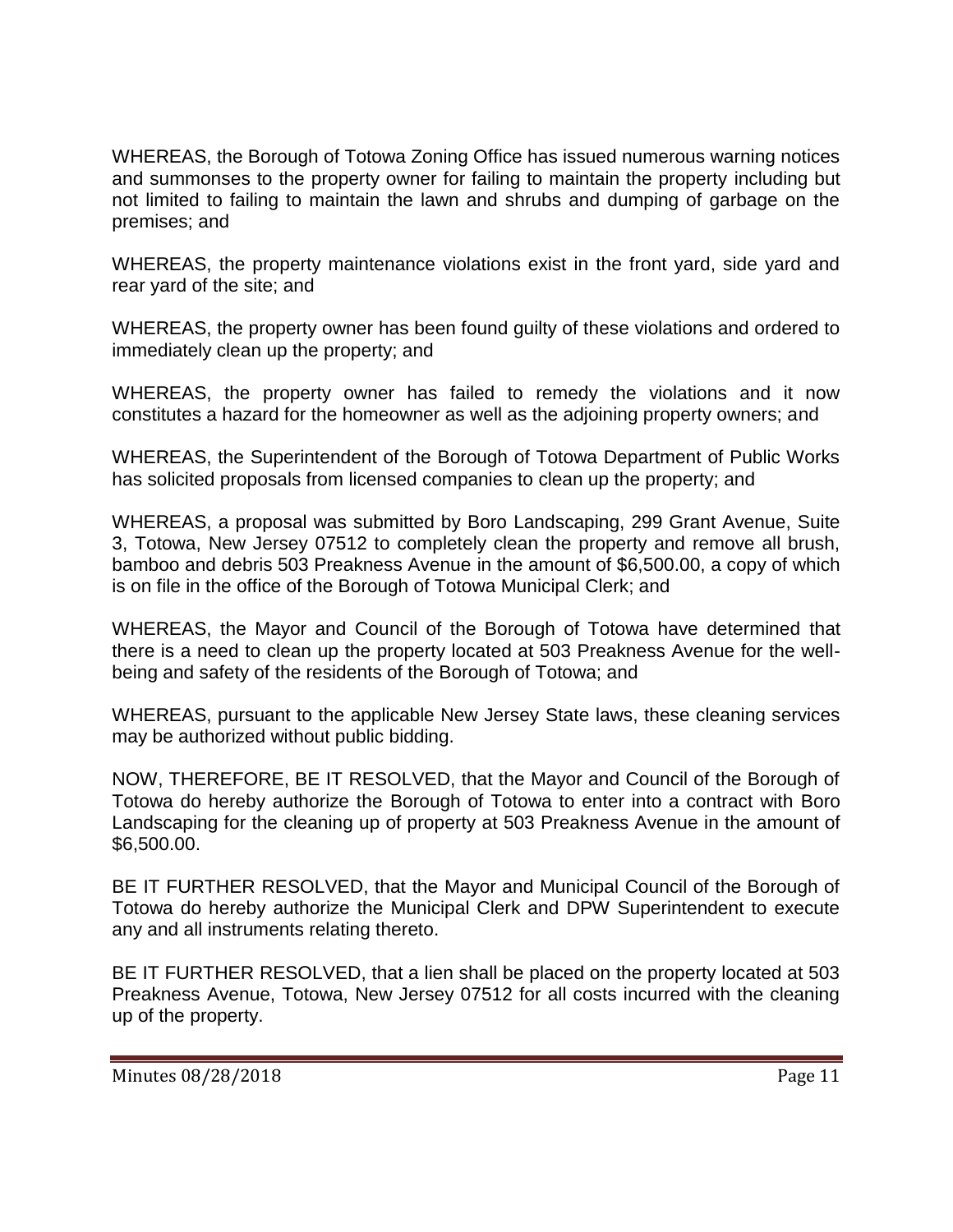WHEREAS, the Borough of Totowa Zoning Office has issued numerous warning notices and summonses to the property owner for failing to maintain the property including but not limited to failing to maintain the lawn and shrubs and dumping of garbage on the premises; and

WHEREAS, the property maintenance violations exist in the front yard, side yard and rear yard of the site; and

WHEREAS, the property owner has been found guilty of these violations and ordered to immediately clean up the property; and

WHEREAS, the property owner has failed to remedy the violations and it now constitutes a hazard for the homeowner as well as the adjoining property owners; and

WHEREAS, the Superintendent of the Borough of Totowa Department of Public Works has solicited proposals from licensed companies to clean up the property; and

WHEREAS, a proposal was submitted by Boro Landscaping, 299 Grant Avenue, Suite 3, Totowa, New Jersey 07512 to completely clean the property and remove all brush, bamboo and debris 503 Preakness Avenue in the amount of \$6,500.00, a copy of which is on file in the office of the Borough of Totowa Municipal Clerk; and

WHEREAS, the Mayor and Council of the Borough of Totowa have determined that there is a need to clean up the property located at 503 Preakness Avenue for the wellbeing and safety of the residents of the Borough of Totowa; and

WHEREAS, pursuant to the applicable New Jersey State laws, these cleaning services may be authorized without public bidding.

NOW, THEREFORE, BE IT RESOLVED, that the Mayor and Council of the Borough of Totowa do hereby authorize the Borough of Totowa to enter into a contract with Boro Landscaping for the cleaning up of property at 503 Preakness Avenue in the amount of \$6,500.00.

BE IT FURTHER RESOLVED, that the Mayor and Municipal Council of the Borough of Totowa do hereby authorize the Municipal Clerk and DPW Superintendent to execute any and all instruments relating thereto.

BE IT FURTHER RESOLVED, that a lien shall be placed on the property located at 503 Preakness Avenue, Totowa, New Jersey 07512 for all costs incurred with the cleaning up of the property.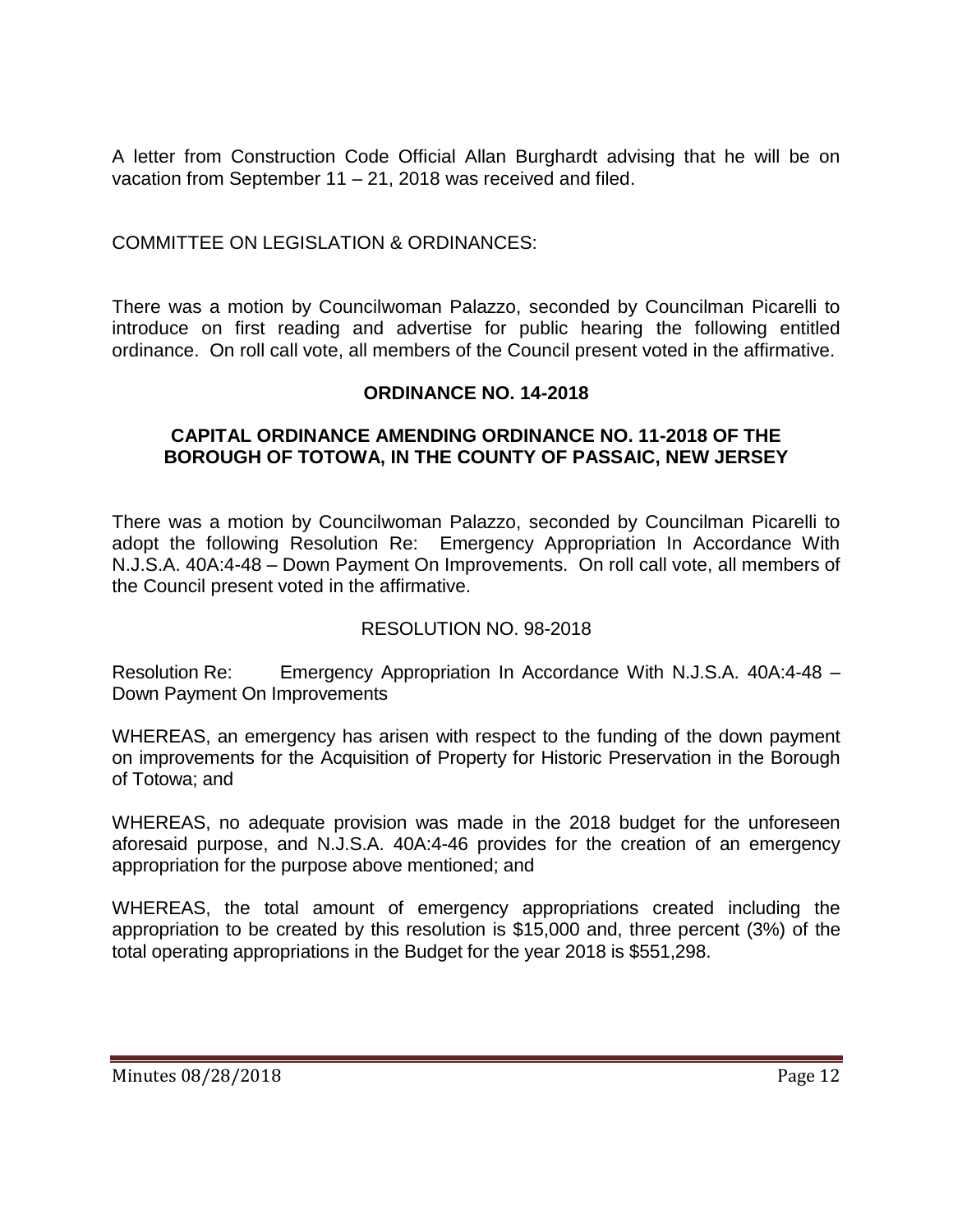A letter from Construction Code Official Allan Burghardt advising that he will be on vacation from September 11 – 21, 2018 was received and filed.

COMMITTEE ON LEGISLATION & ORDINANCES:

There was a motion by Councilwoman Palazzo, seconded by Councilman Picarelli to introduce on first reading and advertise for public hearing the following entitled ordinance. On roll call vote, all members of the Council present voted in the affirmative.

### **ORDINANCE NO. 14-2018**

### **CAPITAL ORDINANCE AMENDING ORDINANCE NO. 11-2018 OF THE BOROUGH OF TOTOWA, IN THE COUNTY OF PASSAIC, NEW JERSEY**

There was a motion by Councilwoman Palazzo, seconded by Councilman Picarelli to adopt the following Resolution Re: Emergency Appropriation In Accordance With N.J.S.A. 40A:4-48 – Down Payment On Improvements. On roll call vote, all members of the Council present voted in the affirmative.

# RESOLUTION NO. 98-2018

Resolution Re: Emergency Appropriation In Accordance With N.J.S.A. 40A:4-48 – Down Payment On Improvements

WHEREAS, an emergency has arisen with respect to the funding of the down payment on improvements for the Acquisition of Property for Historic Preservation in the Borough of Totowa; and

WHEREAS, no adequate provision was made in the 2018 budget for the unforeseen aforesaid purpose, and N.J.S.A. 40A:4-46 provides for the creation of an emergency appropriation for the purpose above mentioned; and

WHEREAS, the total amount of emergency appropriations created including the appropriation to be created by this resolution is \$15,000 and, three percent (3%) of the total operating appropriations in the Budget for the year 2018 is \$551,298.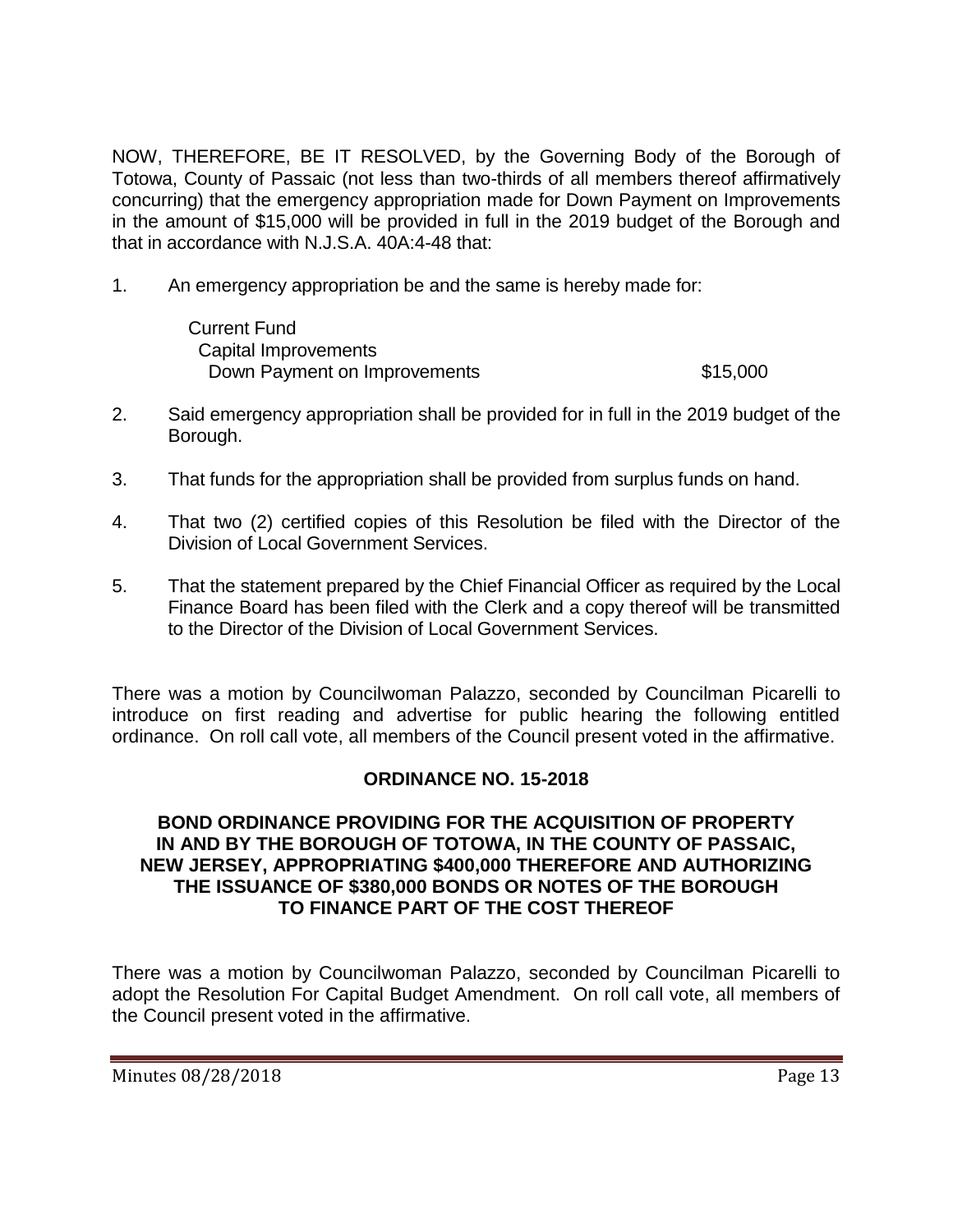NOW, THEREFORE, BE IT RESOLVED, by the Governing Body of the Borough of Totowa, County of Passaic (not less than two-thirds of all members thereof affirmatively concurring) that the emergency appropriation made for Down Payment on Improvements in the amount of \$15,000 will be provided in full in the 2019 budget of the Borough and that in accordance with N.J.S.A. 40A:4-48 that:

1. An emergency appropriation be and the same is hereby made for:

 Current Fund Capital Improvements Down Payment on Improvements \$15,000

- 2. Said emergency appropriation shall be provided for in full in the 2019 budget of the Borough.
- 3. That funds for the appropriation shall be provided from surplus funds on hand.
- 4. That two (2) certified copies of this Resolution be filed with the Director of the Division of Local Government Services.
- 5. That the statement prepared by the Chief Financial Officer as required by the Local Finance Board has been filed with the Clerk and a copy thereof will be transmitted to the Director of the Division of Local Government Services.

There was a motion by Councilwoman Palazzo, seconded by Councilman Picarelli to introduce on first reading and advertise for public hearing the following entitled ordinance. On roll call vote, all members of the Council present voted in the affirmative.

# **ORDINANCE NO. 15-2018**

#### **BOND ORDINANCE PROVIDING FOR THE ACQUISITION OF PROPERTY IN AND BY THE BOROUGH OF TOTOWA, IN THE COUNTY OF PASSAIC, NEW JERSEY, APPROPRIATING \$400,000 THEREFORE AND AUTHORIZING THE ISSUANCE OF \$380,000 BONDS OR NOTES OF THE BOROUGH TO FINANCE PART OF THE COST THEREOF**

There was a motion by Councilwoman Palazzo, seconded by Councilman Picarelli to adopt the Resolution For Capital Budget Amendment. On roll call vote, all members of the Council present voted in the affirmative.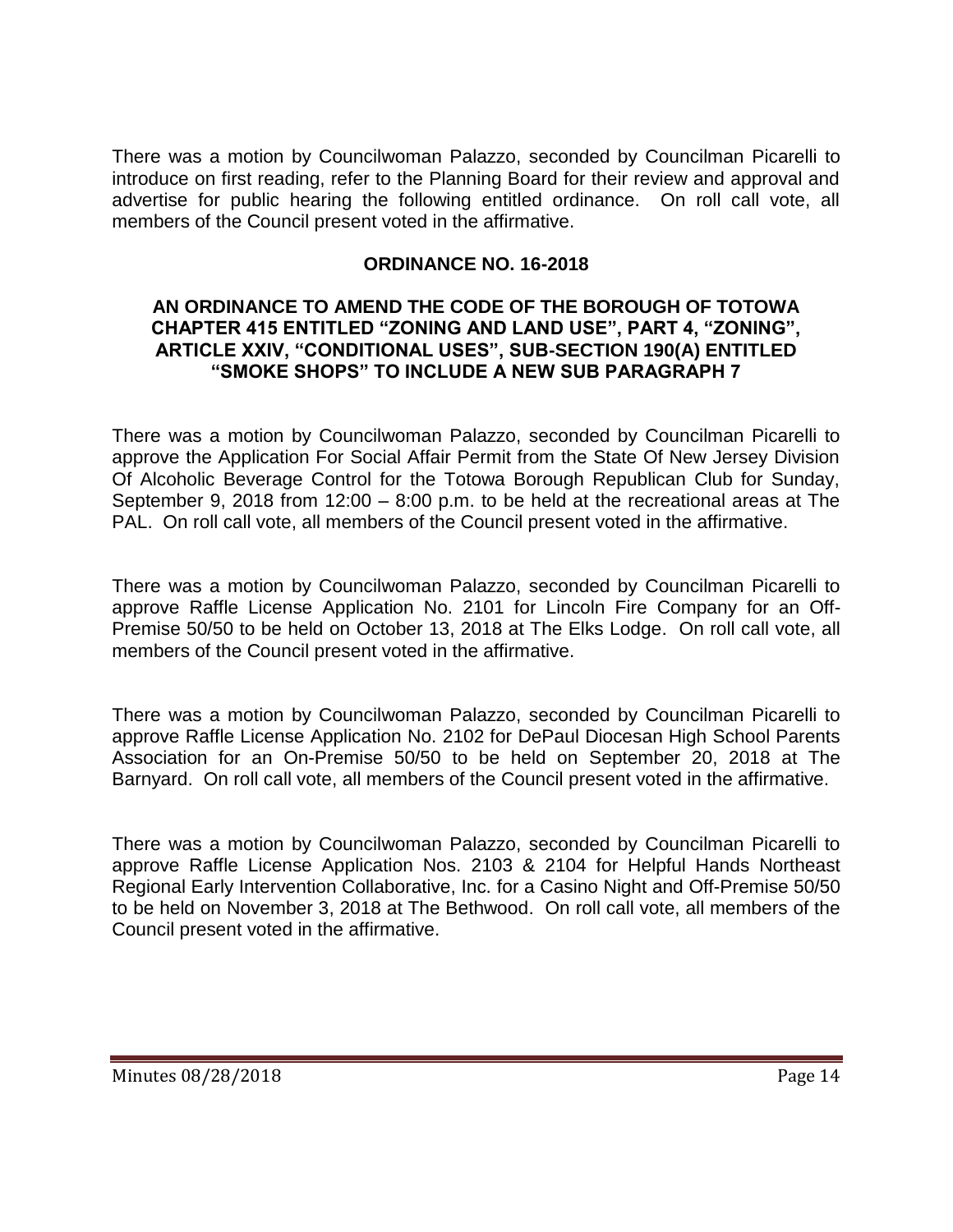There was a motion by Councilwoman Palazzo, seconded by Councilman Picarelli to introduce on first reading, refer to the Planning Board for their review and approval and advertise for public hearing the following entitled ordinance. On roll call vote, all members of the Council present voted in the affirmative.

### **ORDINANCE NO. 16-2018**

#### **AN ORDINANCE TO AMEND THE CODE OF THE BOROUGH OF TOTOWA CHAPTER 415 ENTITLED "ZONING AND LAND USE", PART 4, "ZONING", ARTICLE XXIV, "CONDITIONAL USES", SUB-SECTION 190(A) ENTITLED "SMOKE SHOPS" TO INCLUDE A NEW SUB PARAGRAPH 7**

There was a motion by Councilwoman Palazzo, seconded by Councilman Picarelli to approve the Application For Social Affair Permit from the State Of New Jersey Division Of Alcoholic Beverage Control for the Totowa Borough Republican Club for Sunday, September 9, 2018 from 12:00 – 8:00 p.m. to be held at the recreational areas at The PAL. On roll call vote, all members of the Council present voted in the affirmative.

There was a motion by Councilwoman Palazzo, seconded by Councilman Picarelli to approve Raffle License Application No. 2101 for Lincoln Fire Company for an Off-Premise 50/50 to be held on October 13, 2018 at The Elks Lodge. On roll call vote, all members of the Council present voted in the affirmative.

There was a motion by Councilwoman Palazzo, seconded by Councilman Picarelli to approve Raffle License Application No. 2102 for DePaul Diocesan High School Parents Association for an On-Premise 50/50 to be held on September 20, 2018 at The Barnyard. On roll call vote, all members of the Council present voted in the affirmative.

There was a motion by Councilwoman Palazzo, seconded by Councilman Picarelli to approve Raffle License Application Nos. 2103 & 2104 for Helpful Hands Northeast Regional Early Intervention Collaborative, Inc. for a Casino Night and Off-Premise 50/50 to be held on November 3, 2018 at The Bethwood. On roll call vote, all members of the Council present voted in the affirmative.